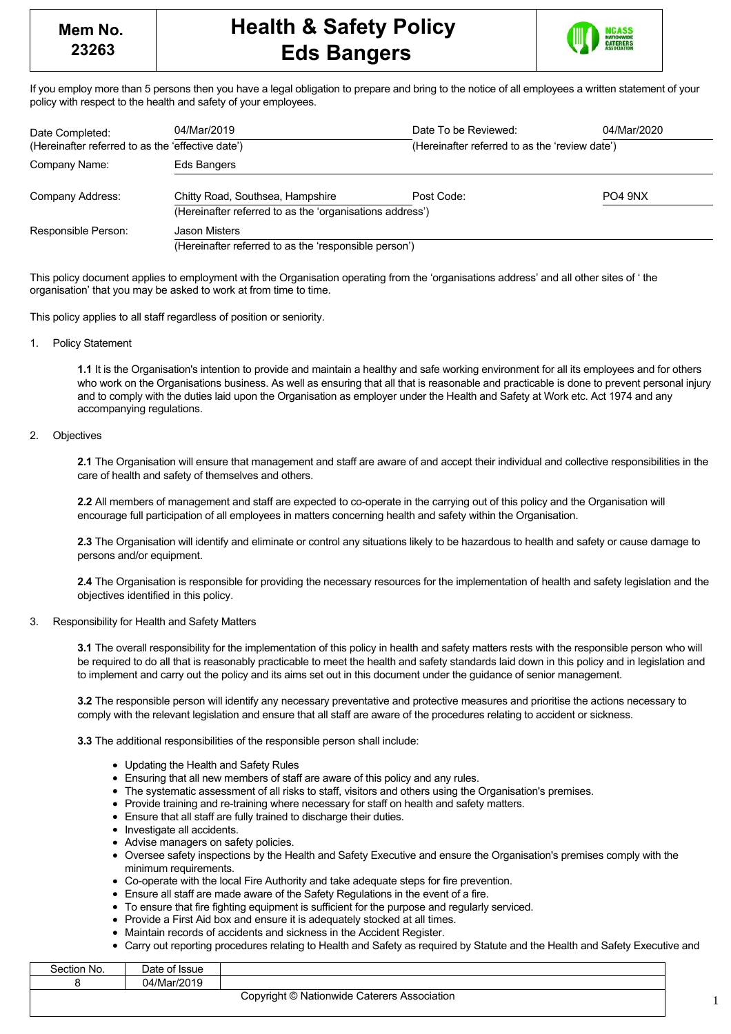

If you employ more than 5 persons then you have a legal obligation to prepare and bring to the notice of all employees a written statement of your policy with respect to the health and safety of your employees.

| Date Completed:                                   | 04/Mar/2019                                              | Date To be Reviewed:                           | 04/Mar/2020                     |  |
|---------------------------------------------------|----------------------------------------------------------|------------------------------------------------|---------------------------------|--|
| (Hereinafter referred to as the 'effective date') |                                                          | (Hereinafter referred to as the 'review date') |                                 |  |
| Company Name:                                     | Eds Bangers                                              |                                                |                                 |  |
| Company Address:                                  | Chitty Road, Southsea, Hampshire                         | Post Code:                                     | PO <sub>4</sub> 9N <sub>X</sub> |  |
|                                                   | (Hereinafter referred to as the 'organisations address') |                                                |                                 |  |
| Responsible Person:                               | Jason Misters                                            |                                                |                                 |  |
|                                                   | (Hereinafter referred to as the 'responsible person')    |                                                |                                 |  |

This policy document applies to employment with the Organisation operating from the 'organisations address' and all other sites of ' the organisation' that you may be asked to work at from time to time.

This policy applies to all staff regardless of position or seniority.

1. Policy Statement

**1.1** It is the Organisation's intention to provide and maintain a healthy and safe working environment for all its employees and for others who work on the Organisations business. As well as ensuring that all that is reasonable and practicable is done to prevent personal injury and to comply with the duties laid upon the Organisation as employer under the Health and Safety at Work etc. Act 1974 and any accompanying regulations.

## 2. Objectives

**2.1** The Organisation will ensure that management and staff are aware of and accept their individual and collective responsibilities in the care of health and safety of themselves and others.

**2.2** All members of management and staff are expected to co-operate in the carrying out of this policy and the Organisation will encourage full participation of all employees in matters concerning health and safety within the Organisation.

**2.3** The Organisation will identify and eliminate or control any situations likely to be hazardous to health and safety or cause damage to persons and/or equipment.

**2.4** The Organisation is responsible for providing the necessary resources for the implementation of health and safety legislation and the objectives identified in this policy.

### 3. Responsibility for Health and Safety Matters

**3.1** The overall responsibility for the implementation of this policy in health and safety matters rests with the responsible person who will be required to do all that is reasonably practicable to meet the health and safety standards laid down in this policy and in legislation and to implement and carry out the policy and its aims set out in this document under the guidance of senior management.

**3.2** The responsible person will identify any necessary preventative and protective measures and prioritise the actions necessary to comply with the relevant legislation and ensure that all staff are aware of the procedures relating to accident or sickness.

**3.3** The additional responsibilities of the responsible person shall include:

- Updating the Health and Safety Rules
- Ensuring that all new members of staff are aware of this policy and any rules.
- The systematic assessment of all risks to staff, visitors and others using the Organisation's premises.
- Provide training and re-training where necessary for staff on health and safety matters.
- Ensure that all staff are fully trained to discharge their duties.
- Investigate all accidents.
- Advise managers on safety policies.
- Oversee safety inspections by the Health and Safety Executive and ensure the Organisation's premises comply with the minimum requirements.
- Co-operate with the local Fire Authority and take adequate steps for fire prevention.
- Ensure all staff are made aware of the Safety Regulations in the event of a fire.
- To ensure that fire fighting equipment is sufficient for the purpose and regularly serviced.
- Provide a First Aid box and ensure it is adequately stocked at all times.
- Maintain records of accidents and sickness in the Accident Register.
- Carry out reporting procedures relating to Health and Safety as required by Statute and the Health and Safety Executive and

| Section No. | лате<br>oouc |                                                                                                                           |
|-------------|--------------|---------------------------------------------------------------------------------------------------------------------------|
|             | ۱۵۵٬۰۰<br>∩⊿ |                                                                                                                           |
|             |              | $\texttt{Conaritht} \, \textcircled{A} \, \texttt{Mathematical} \, \texttt{C} \, \texttt{A} \, \texttt{in} \, \texttt{A}$ |